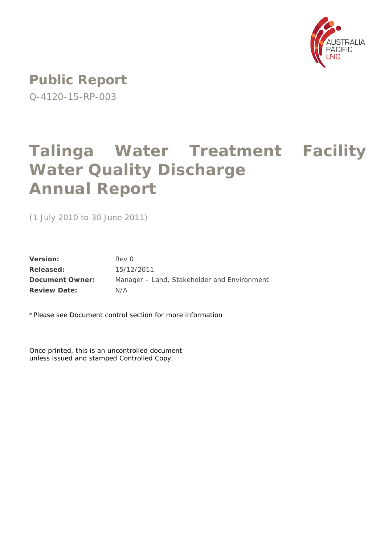

**Public Report** Q-4120-15-RP-003

# **Talinga Water Treatment Facility Water Quality Discharge Annual Report**

(1 July 2010 to 30 June 2011)

**Version:** Rev 0 **Released:** 15/12/2011 **Document Owner:** Manager – Land, Stakeholder and Environment **Review Date:** N/A

\*Please see Document control section for more information

Once printed, this is an uncontrolled document unless issued and stamped Controlled Copy.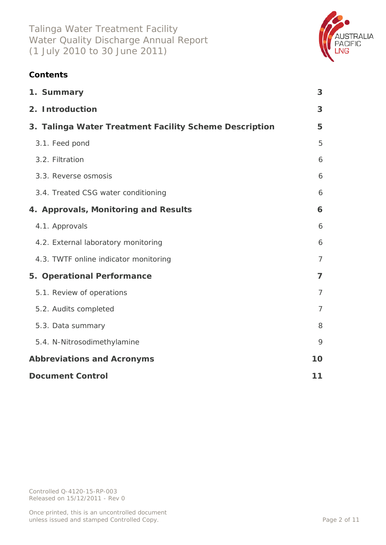

# **Contents**

| 1. Summary                                             | 3              |
|--------------------------------------------------------|----------------|
| 2. Introduction                                        | 3              |
| 3. Talinga Water Treatment Facility Scheme Description | 5              |
| 3.1. Feed pond                                         | 5              |
| 3.2. Filtration                                        | 6              |
| 3.3. Reverse osmosis                                   | 6              |
| 3.4. Treated CSG water conditioning                    | 6              |
| 4. Approvals, Monitoring and Results                   | 6              |
| 4.1. Approvals                                         | 6              |
| 4.2. External laboratory monitoring                    | 6              |
| 4.3. TWTF online indicator monitoring                  | $\overline{7}$ |
| 5. Operational Performance                             | $\overline{7}$ |
| 5.1. Review of operations                              | $\overline{7}$ |
| 5.2. Audits completed                                  | $\overline{7}$ |
| 5.3. Data summary                                      | 8              |
| 5.4. N-Nitrosodimethylamine                            | 9              |
| <b>Abbreviations and Acronyms</b>                      | 10             |
| <b>Document Control</b>                                | 11             |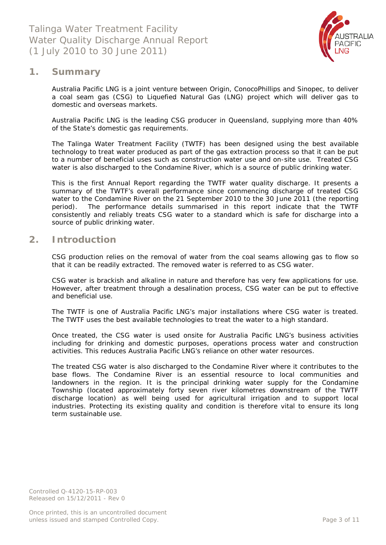

## <span id="page-2-0"></span>**1. Summary**

Australia Pacific LNG is a joint venture between Origin, ConocoPhillips and Sinopec, to deliver a coal seam gas (CSG) to Liquefied Natural Gas (LNG) project which will deliver gas to domestic and overseas markets.

Australia Pacific LNG is the leading CSG producer in Queensland, supplying more than 40% of the State's domestic gas requirements.

The Talinga Water Treatment Facility (TWTF) has been designed using the best available technology to treat water produced as part of the gas extraction process so that it can be put to a number of beneficial uses such as construction water use and on-site use. Treated CSG water is also discharged to the Condamine River, which is a source of public drinking water.

This is the first Annual Report regarding the TWTF water quality discharge. It presents a summary of the TWTF's overall performance since commencing discharge of treated CSG water to the Condamine River on the 21 September 2010 to the 30 June 2011 (the reporting period). The performance details summarised in this report indicate that the TWTF consistently and reliably treats CSG water to a standard which is safe for discharge into a source of public drinking water.

## <span id="page-2-1"></span>**2. Introduction**

CSG production relies on the removal of water from the coal seams allowing gas to flow so that it can be readily extracted. The removed water is referred to as CSG water.

CSG water is brackish and alkaline in nature and therefore has very few applications for use. However, after treatment through a desalination process, CSG water can be put to effective and beneficial use.

The TWTF is one of Australia Pacific LNG's major installations where CSG water is treated. The TWTF uses the best available technologies to treat the water to a high standard.

Once treated, the CSG water is used onsite for Australia Pacific LNG's business activities including for drinking and domestic purposes, operations process water and construction activities. This reduces Australia Pacific LNG's reliance on other water resources.

The treated CSG water is also discharged to the Condamine River where it contributes to the base flows. The Condamine River is an essential resource to local communities and landowners in the region. It is the principal drinking water supply for the Condamine Township (located approximately forty seven river kilometres downstream of the TWTF discharge location) as well being used for agricultural irrigation and to support local industries. Protecting its existing quality and condition is therefore vital to ensure its long term sustainable use.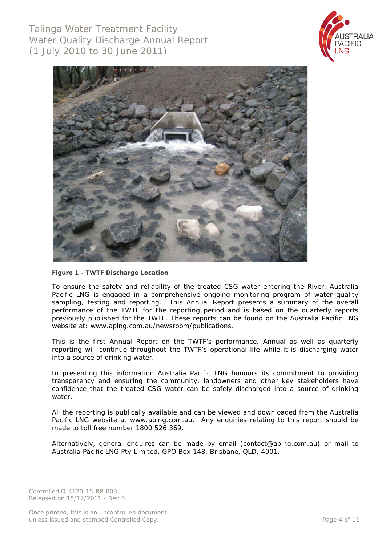Talinga Water Treatment Facility Water Quality Discharge Annual Report (1 July 2010 to 30 June 2011)





**Figure 1 - TWTF Discharge Location**

To ensure the safety and reliability of the treated CSG water entering the River, Australia Pacific LNG is engaged in a comprehensive ongoing monitoring program of water quality sampling, testing and reporting. This Annual Report presents a summary of the overall performance of the TWTF for the reporting period and is based on the quarterly reports previously published for the TWTF. These reports can be found on the Australia Pacific LNG website at: www.aplng.com.au/newsroom/publications.

This is the first Annual Report on the TWTF's performance. Annual as well as quarterly reporting will continue throughout the TWTF's operational life while it is discharging water into a source of drinking water.

In presenting this information Australia Pacific LNG honours its commitment to providing transparency and ensuring the community, landowners and other key stakeholders have confidence that the treated CSG water can be safely discharged into a source of drinking water

All the reporting is publically available and can be viewed and downloaded from the Australia Pacific LNG website at [www.aplng.com.au.](http://www.aplng.com.au/) Any enquiries relating to this report should be made to toll free number 1800 526 369.

Alternatively, general enquires can be made by email [\(contact@aplng.com.au\)](mailto:contact@aplng.com.au) or mail to Australia Pacific LNG Pty Limited, GPO Box 148, Brisbane, QLD, 4001.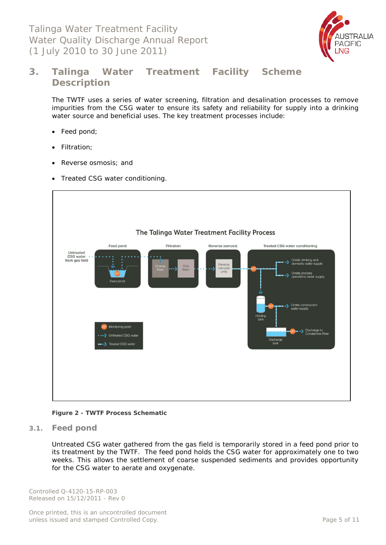Talinga Water Treatment Facility Water Quality Discharge Annual Report (1 July 2010 to 30 June 2011)



# <span id="page-4-0"></span>**3. Talinga Water Treatment Facility Scheme Description**

The TWTF uses a series of water screening, filtration and desalination processes to remove impurities from the CSG water to ensure its safety and reliability for supply into a drinking water source and beneficial uses. The key treatment processes include:

- Feed pond;
- Filtration;
- Reverse osmosis; and
- Treated CSG water conditioning.



#### **Figure 2 - TWTF Process Schematic**

<span id="page-4-1"></span>**3.1. Feed pond**

Untreated CSG water gathered from the gas field is temporarily stored in a feed pond prior to its treatment by the TWTF. The feed pond holds the CSG water for approximately one to two weeks. This allows the settlement of coarse suspended sediments and provides opportunity for the CSG water to aerate and oxygenate.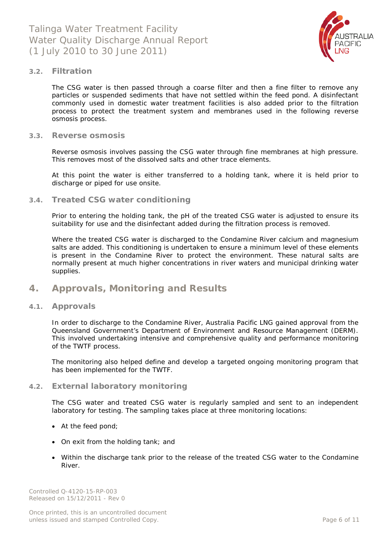

#### <span id="page-5-0"></span>**3.2. Filtration**

The CSG water is then passed through a coarse filter and then a fine filter to remove any particles or suspended sediments that have not settled within the feed pond. A disinfectant commonly used in domestic water treatment facilities is also added prior to the filtration process to protect the treatment system and membranes used in the following reverse osmosis process.

#### <span id="page-5-1"></span>**3.3. Reverse osmosis**

Reverse osmosis involves passing the CSG water through fine membranes at high pressure. This removes most of the dissolved salts and other trace elements.

At this point the water is either transferred to a holding tank, where it is held prior to discharge or piped for use onsite.

#### <span id="page-5-2"></span>**3.4. Treated CSG water conditioning**

Prior to entering the holding tank, the pH of the treated CSG water is adjusted to ensure its suitability for use and the disinfectant added during the filtration process is removed.

Where the treated CSG water is discharged to the Condamine River calcium and magnesium salts are added. This conditioning is undertaken to ensure a minimum level of these elements is present in the Condamine River to protect the environment. These natural salts are normally present at much higher concentrations in river waters and municipal drinking water supplies.

## <span id="page-5-3"></span>**4. Approvals, Monitoring and Results**

#### <span id="page-5-4"></span>**4.1. Approvals**

In order to discharge to the Condamine River, Australia Pacific LNG gained approval from the Queensland Government's Department of Environment and Resource Management (DERM). This involved undertaking intensive and comprehensive quality and performance monitoring of the TWTF process.

The monitoring also helped define and develop a targeted ongoing monitoring program that has been implemented for the TWTF.

#### <span id="page-5-5"></span>**4.2. External laboratory monitoring**

The CSG water and treated CSG water is regularly sampled and sent to an independent laboratory for testing. The sampling takes place at three monitoring locations:

- At the feed pond;
- On exit from the holding tank; and
- Within the discharge tank prior to the release of the treated CSG water to the Condamine River.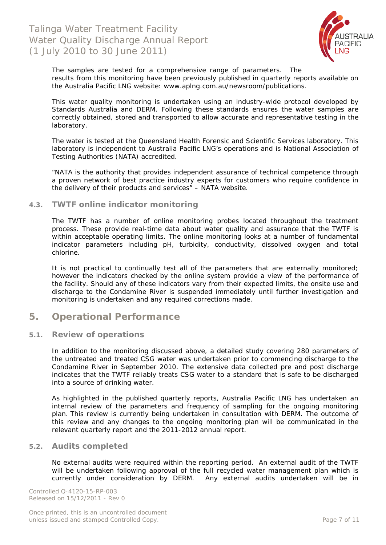

The samples are tested for a comprehensive range of parameters. The results from this monitoring have been previously published in quarterly reports available on the Australia Pacific LNG website: www.aplng.com.au/newsroom/publications.

This water quality monitoring is undertaken using an industry-wide protocol developed by Standards Australia and DERM. Following these standards ensures the water samples are correctly obtained, stored and transported to allow accurate and representative testing in the laboratory.

The water is tested at the Queensland Health Forensic and Scientific Services laboratory. This laboratory is independent to Australia Pacific LNG's operations and is National Association of Testing Authorities (NATA) accredited.

*"NATA is the authority that provides independent assurance of technical competence through a proven network of best practice industry experts for customers who require confidence in the delivery of their products and services"* – NATA website.

#### <span id="page-6-0"></span>**4.3. TWTF online indicator monitoring**

The TWTF has a number of online monitoring probes located throughout the treatment process. These provide real-time data about water quality and assurance that the TWTF is within acceptable operating limits. The online monitoring looks at a number of fundamental indicator parameters including pH, turbidity, conductivity, dissolved oxygen and total chlorine.

It is not practical to continually test all of the parameters that are externally monitored; however the indicators checked by the online system provide a view of the performance of the facility. Should any of these indicators vary from their expected limits, the onsite use and discharge to the Condamine River is suspended immediately until further investigation and monitoring is undertaken and any required corrections made.

## <span id="page-6-1"></span>**5. Operational Performance**

#### <span id="page-6-2"></span>**5.1. Review of operations**

In addition to the monitoring discussed above, a detailed study covering 280 parameters of the untreated and treated CSG water was undertaken prior to commencing discharge to the Condamine River in September 2010. The extensive data collected pre and post discharge indicates that the TWTF reliably treats CSG water to a standard that is safe to be discharged into a source of drinking water.

As highlighted in the published quarterly reports, Australia Pacific LNG has undertaken an internal review of the parameters and frequency of sampling for the ongoing monitoring plan. This review is currently being undertaken in consultation with DERM. The outcome of this review and any changes to the ongoing monitoring plan will be communicated in the relevant quarterly report and the 2011-2012 annual report.

#### <span id="page-6-3"></span>**5.2. Audits completed**

No external audits were required within the reporting period. An external audit of the TWTF will be undertaken following approval of the full recycled water management plan which is currently under consideration by DERM. Any external audits undertaken will be in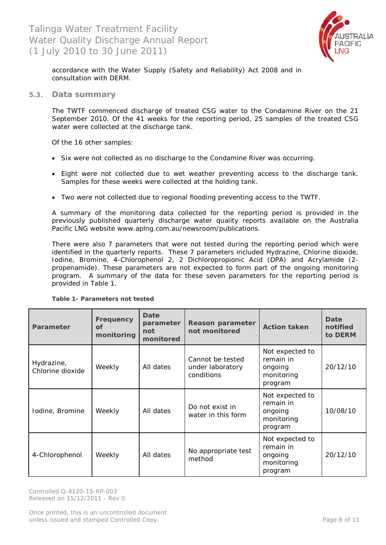

accordance with the Water *Supply (Safety and Reliability) Act 2008* and in consultation with DERM.

#### <span id="page-7-0"></span>**5.3. Data summary**

The TWTF commenced discharge of treated CSG water to the Condamine River on the 21 September 2010. Of the 41 weeks for the reporting period, 25 samples of the treated CSG water were collected at the discharge tank.

Of the 16 other samples:

- Six were not collected as no discharge to the Condamine River was occurring.
- Eight were not collected due to wet weather preventing access to the discharge tank. Samples for these weeks were collected at the holding tank.
- Two were not collected due to regional flooding preventing access to the TWTF.

A summary of the monitoring data collected for the reporting period is provided in the previously published quarterly discharge water quality reports available on the Australia Pacific LNG website www.aplng.com.au/newsroom/publications.

There were also 7 parameters that were not tested during the reporting period which were identified in the quarterly reports. These 7 parameters included Hydrazine, Chlorine dioxide, Iodine, Bromine, 4-Chlorophenol 2, 2 Dichloropropionic Acid (DPA) and Acrylamide (2 propenamide). These parameters are not expected to form part of the ongoing monitoring program. A summary of the data for these seven parameters for the reporting period is provided in Table 1.

| Parameter                      | Frequency<br><b>of</b><br>monitoring | Date<br>parameter<br>not<br>monitored | Reason parameter<br>not monitored                  | <b>Action taken</b>                                              | Date<br>notified<br>to DERM |
|--------------------------------|--------------------------------------|---------------------------------------|----------------------------------------------------|------------------------------------------------------------------|-----------------------------|
| Hydrazine,<br>Chlorine dioxide | Weekly                               | All dates                             | Cannot be tested<br>under laboratory<br>conditions | Not expected to<br>remain in<br>ongoing<br>monitoring<br>program | 20/12/10                    |
| Iodine, Bromine                | Weekly                               | All dates                             | Do not exist in<br>water in this form              | Not expected to<br>remain in<br>ongoing<br>monitoring<br>program | 10/08/10                    |
| 4-Chlorophenol                 | Weekly                               | All dates                             | No appropriate test<br>method                      | Not expected to<br>remain in<br>ongoing<br>monitoring<br>program | 20/12/10                    |

**Table 1- Parameters not tested**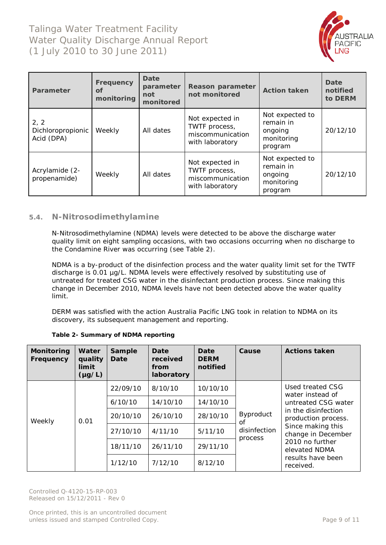

| Parameter                               | <b>Frequency</b><br>Οf<br>monitoring | Date<br>parameter<br>not<br>monitored | Reason parameter<br>not monitored                                       | <b>Action taken</b>                                              | Date<br>notified<br>to DERM |
|-----------------------------------------|--------------------------------------|---------------------------------------|-------------------------------------------------------------------------|------------------------------------------------------------------|-----------------------------|
| 2, 2<br>Dichloropropionic<br>Acid (DPA) | Weekly                               | All dates                             | Not expected in<br>TWTF process,<br>miscommunication<br>with laboratory | Not expected to<br>remain in<br>ongoing<br>monitoring<br>program | 20/12/10                    |
| Acrylamide (2-<br>propenamide)          | Weekly                               | All dates                             | Not expected in<br>TWTF process,<br>miscommunication<br>with laboratory | Not expected to<br>remain in<br>ongoing<br>monitoring<br>program | 20/12/10                    |

## <span id="page-8-0"></span>**5.4. N-Nitrosodimethylamine**

N-Nitrosodimethylamine (NDMA) levels were detected to be above the discharge water quality limit on eight sampling occasions, with two occasions occurring when no discharge to the Condamine River was occurring (see Table 2).

NDMA is a by-product of the disinfection process and the water quality limit set for the TWTF discharge is 0.01 µg/L. NDMA levels were effectively resolved by substituting use of untreated for treated CSG water in the disinfectant production process. Since making this change in December 2010, NDMA levels have not been detected above the water quality limit.

DERM was satisfied with the action Australia Pacific LNG took in relation to NDMA on its discovery, its subsequent management and reporting.

| <b>Monitoring</b><br>Frequency | Water<br>quality<br>limit<br>$(\mu g/L)$ | <b>Sample</b><br>Date | Date<br>received<br>from<br>laboratory | Date<br><b>DERM</b><br>notified | Cause                   | <b>Actions taken</b>                       |
|--------------------------------|------------------------------------------|-----------------------|----------------------------------------|---------------------------------|-------------------------|--------------------------------------------|
|                                |                                          | 22/09/10              | 8/10/10                                | 10/10/10                        |                         | Used treated CSG<br>water instead of       |
|                                |                                          | 6/10/10               | 14/10/10                               | 14/10/10                        |                         | untreated CSG water                        |
| Weekly                         | 0.01                                     | 20/10/10              | 26/10/10                               | 28/10/10                        | <b>Byproduct</b><br>οf  | in the disinfection<br>production process. |
|                                |                                          | 27/10/10              | 4/11/10                                | 5/11/10                         | disinfection<br>process | Since making this<br>change in December    |
|                                |                                          | 18/11/10              | 26/11/10                               | 29/11/10                        |                         | 2010 no further<br>elevated NDMA           |
|                                |                                          | 1/12/10               | 7/12/10                                | 8/12/10                         |                         | results have been<br>received.             |

#### **Table 2- Summary of NDMA reporting**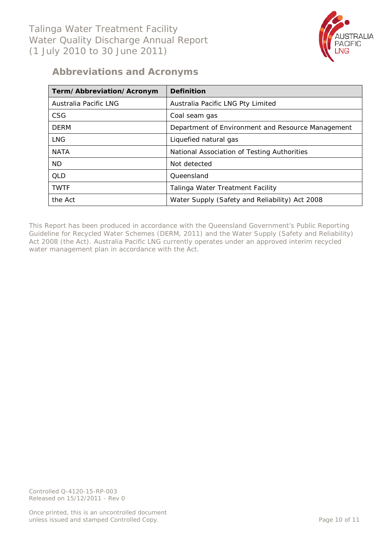

# <span id="page-9-0"></span>**Abbreviations and Acronyms**

| Term/Abbreviation/Acronym | Definition                                        |
|---------------------------|---------------------------------------------------|
| Australia Pacific LNG     | Australia Pacific LNG Pty Limited                 |
| CSG                       | Coal seam gas                                     |
| <b>DERM</b>               | Department of Environment and Resource Management |
| <b>LNG</b>                | Liquefied natural gas                             |
| <b>NATA</b>               | National Association of Testing Authorities       |
| <b>ND</b>                 | Not detected                                      |
| OID                       | Queensland                                        |
| <b>TWTF</b>               | Talinga Water Treatment Facility                  |
| the Act                   | Water Supply (Safety and Reliability) Act 2008    |

This Report has been produced in accordance with the Queensland Government's *Public Reporting Guideline for Recycled Water Schemes* (DERM, 2011) and the *Water Supply (Safety and Reliability) Act 2008* (the Act). Australia Pacific LNG currently operates under an approved interim recycled water management plan in accordance with the Act.